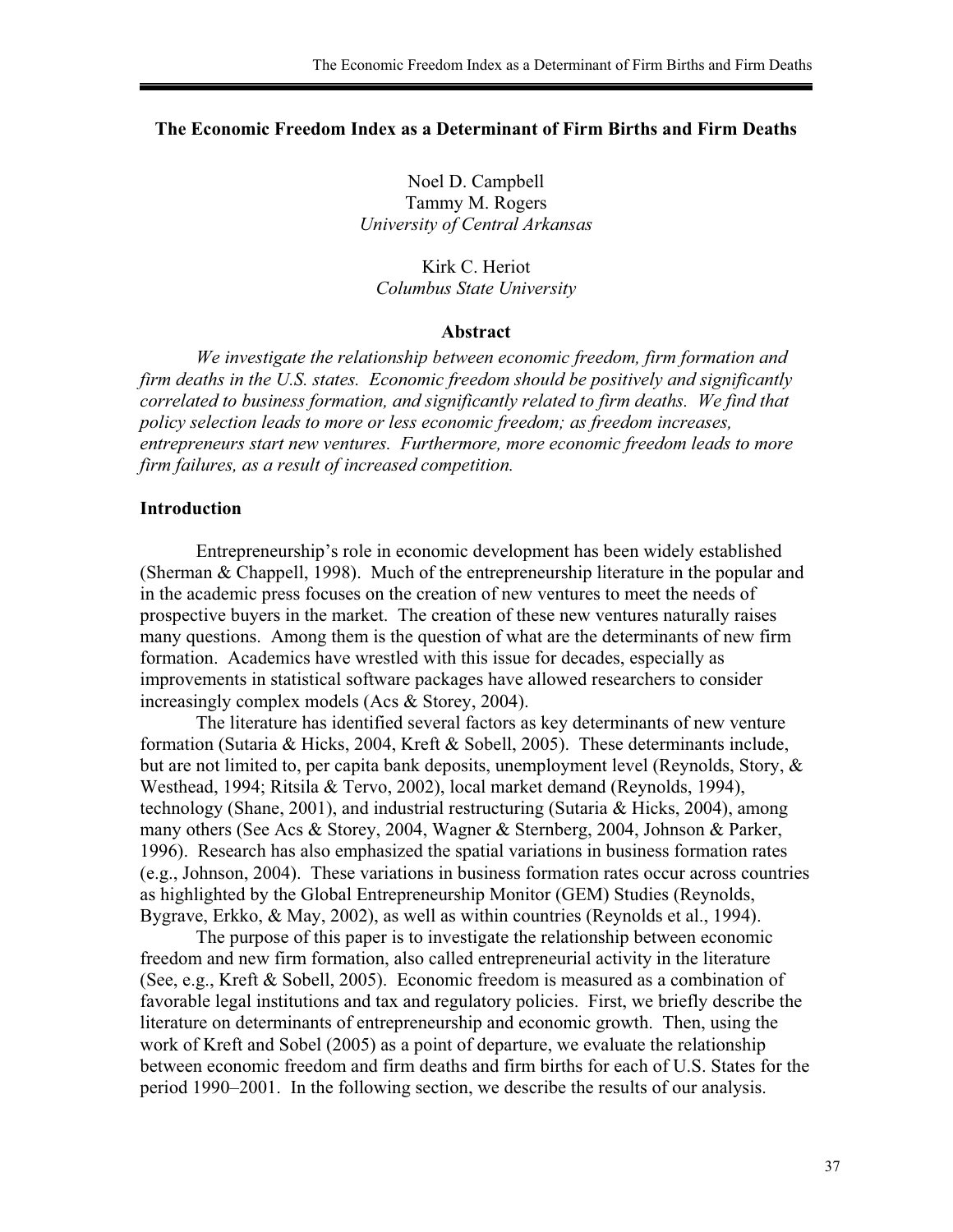# **The Economic Freedom Index as a Determinant of Firm Births and Firm Deaths**

Noel D. Campbell Tammy M. Rogers *University of Central Arkansas* 

Kirk C. Heriot *Columbus State University* 

### **Abstract**

*We investigate the relationship between economic freedom, firm formation and firm deaths in the U.S. states. Economic freedom should be positively and significantly correlated to business formation, and significantly related to firm deaths. We find that policy selection leads to more or less economic freedom; as freedom increases, entrepreneurs start new ventures. Furthermore, more economic freedom leads to more firm failures, as a result of increased competition.* 

### **Introduction**

Entrepreneurship's role in economic development has been widely established (Sherman & Chappell, 1998). Much of the entrepreneurship literature in the popular and in the academic press focuses on the creation of new ventures to meet the needs of prospective buyers in the market. The creation of these new ventures naturally raises many questions. Among them is the question of what are the determinants of new firm formation. Academics have wrestled with this issue for decades, especially as improvements in statistical software packages have allowed researchers to consider increasingly complex models (Acs & Storey, 2004).

 The literature has identified several factors as key determinants of new venture formation (Sutaria & Hicks, 2004, Kreft & Sobell, 2005). These determinants include, but are not limited to, per capita bank deposits, unemployment level (Reynolds, Story, & Westhead, 1994; Ritsila & Tervo, 2002), local market demand (Reynolds, 1994), technology (Shane, 2001), and industrial restructuring (Sutaria & Hicks, 2004), among many others (See Acs & Storey, 2004, Wagner & Sternberg, 2004, Johnson & Parker, 1996). Research has also emphasized the spatial variations in business formation rates (e.g., Johnson, 2004). These variations in business formation rates occur across countries as highlighted by the Global Entrepreneurship Monitor (GEM) Studies (Reynolds, Bygrave, Erkko, & May, 2002), as well as within countries (Reynolds et al., 1994).

 The purpose of this paper is to investigate the relationship between economic freedom and new firm formation, also called entrepreneurial activity in the literature (See, e.g., Kreft & Sobell, 2005). Economic freedom is measured as a combination of favorable legal institutions and tax and regulatory policies. First, we briefly describe the literature on determinants of entrepreneurship and economic growth. Then, using the work of Kreft and Sobel (2005) as a point of departure, we evaluate the relationship between economic freedom and firm deaths and firm births for each of U.S. States for the period 1990–2001. In the following section, we describe the results of our analysis.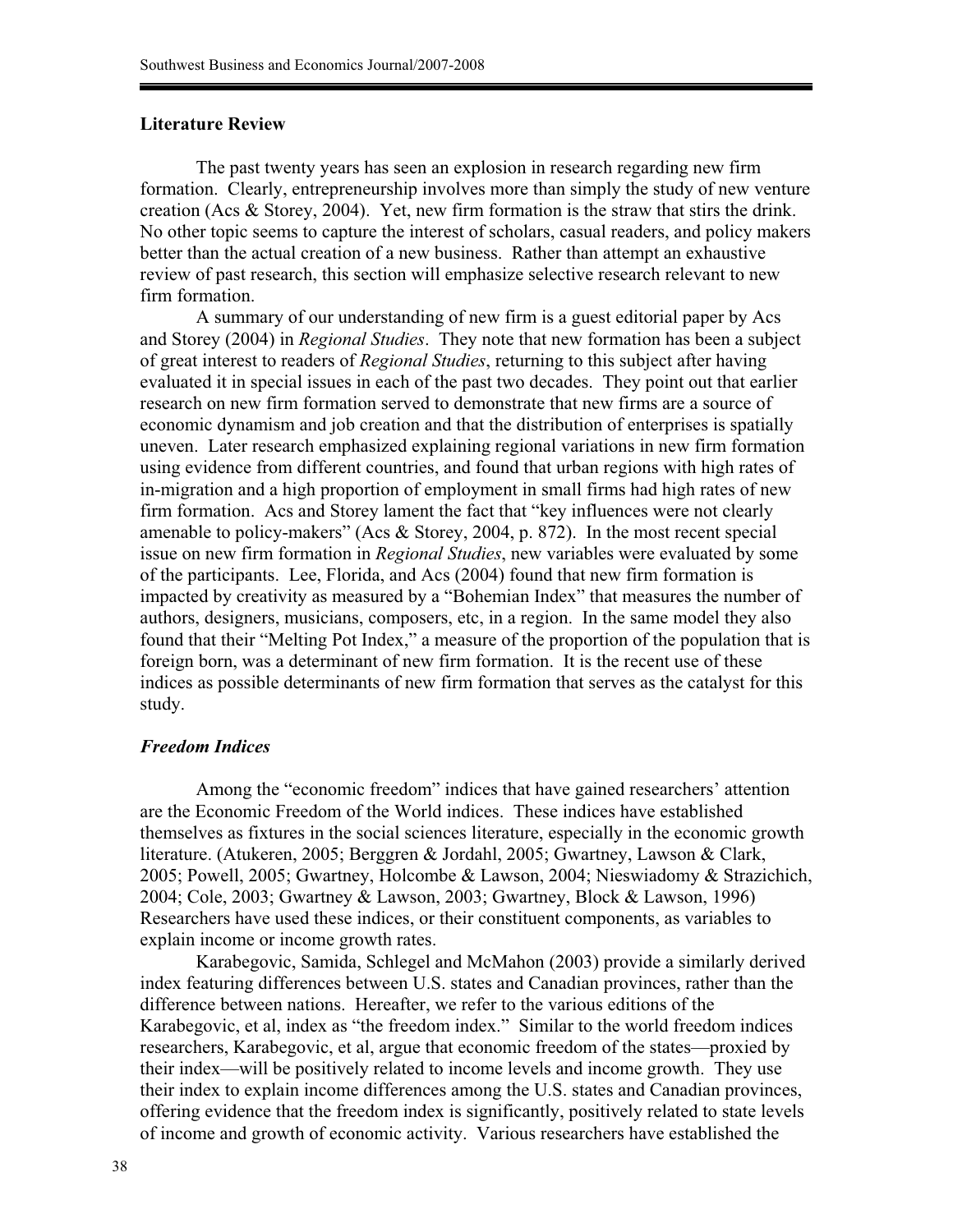# **Literature Review**

The past twenty years has seen an explosion in research regarding new firm formation. Clearly, entrepreneurship involves more than simply the study of new venture creation (Acs & Storey, 2004). Yet, new firm formation is the straw that stirs the drink. No other topic seems to capture the interest of scholars, casual readers, and policy makers better than the actual creation of a new business. Rather than attempt an exhaustive review of past research, this section will emphasize selective research relevant to new firm formation.

A summary of our understanding of new firm is a guest editorial paper by Acs and Storey (2004) in *Regional Studies*. They note that new formation has been a subject of great interest to readers of *Regional Studies*, returning to this subject after having evaluated it in special issues in each of the past two decades. They point out that earlier research on new firm formation served to demonstrate that new firms are a source of economic dynamism and job creation and that the distribution of enterprises is spatially uneven. Later research emphasized explaining regional variations in new firm formation using evidence from different countries, and found that urban regions with high rates of in-migration and a high proportion of employment in small firms had high rates of new firm formation. Acs and Storey lament the fact that "key influences were not clearly amenable to policy-makers" (Acs & Storey, 2004, p. 872). In the most recent special issue on new firm formation in *Regional Studies*, new variables were evaluated by some of the participants. Lee, Florida, and Acs (2004) found that new firm formation is impacted by creativity as measured by a "Bohemian Index" that measures the number of authors, designers, musicians, composers, etc, in a region. In the same model they also found that their "Melting Pot Index," a measure of the proportion of the population that is foreign born, was a determinant of new firm formation. It is the recent use of these indices as possible determinants of new firm formation that serves as the catalyst for this study.

### *Freedom Indices*

Among the "economic freedom" indices that have gained researchers' attention are the Economic Freedom of the World indices. These indices have established themselves as fixtures in the social sciences literature, especially in the economic growth literature. (Atukeren, 2005; Berggren & Jordahl, 2005; Gwartney, Lawson & Clark, 2005; Powell, 2005; Gwartney, Holcombe & Lawson, 2004; Nieswiadomy & Strazichich, 2004; Cole, 2003; Gwartney & Lawson, 2003; Gwartney, Block & Lawson, 1996) Researchers have used these indices, or their constituent components, as variables to explain income or income growth rates.

Karabegovic, Samida, Schlegel and McMahon (2003) provide a similarly derived index featuring differences between U.S. states and Canadian provinces, rather than the difference between nations. Hereafter, we refer to the various editions of the Karabegovic, et al, index as "the freedom index." Similar to the world freedom indices researchers, Karabegovic, et al, argue that economic freedom of the states—proxied by their index—will be positively related to income levels and income growth. They use their index to explain income differences among the U.S. states and Canadian provinces, offering evidence that the freedom index is significantly, positively related to state levels of income and growth of economic activity. Various researchers have established the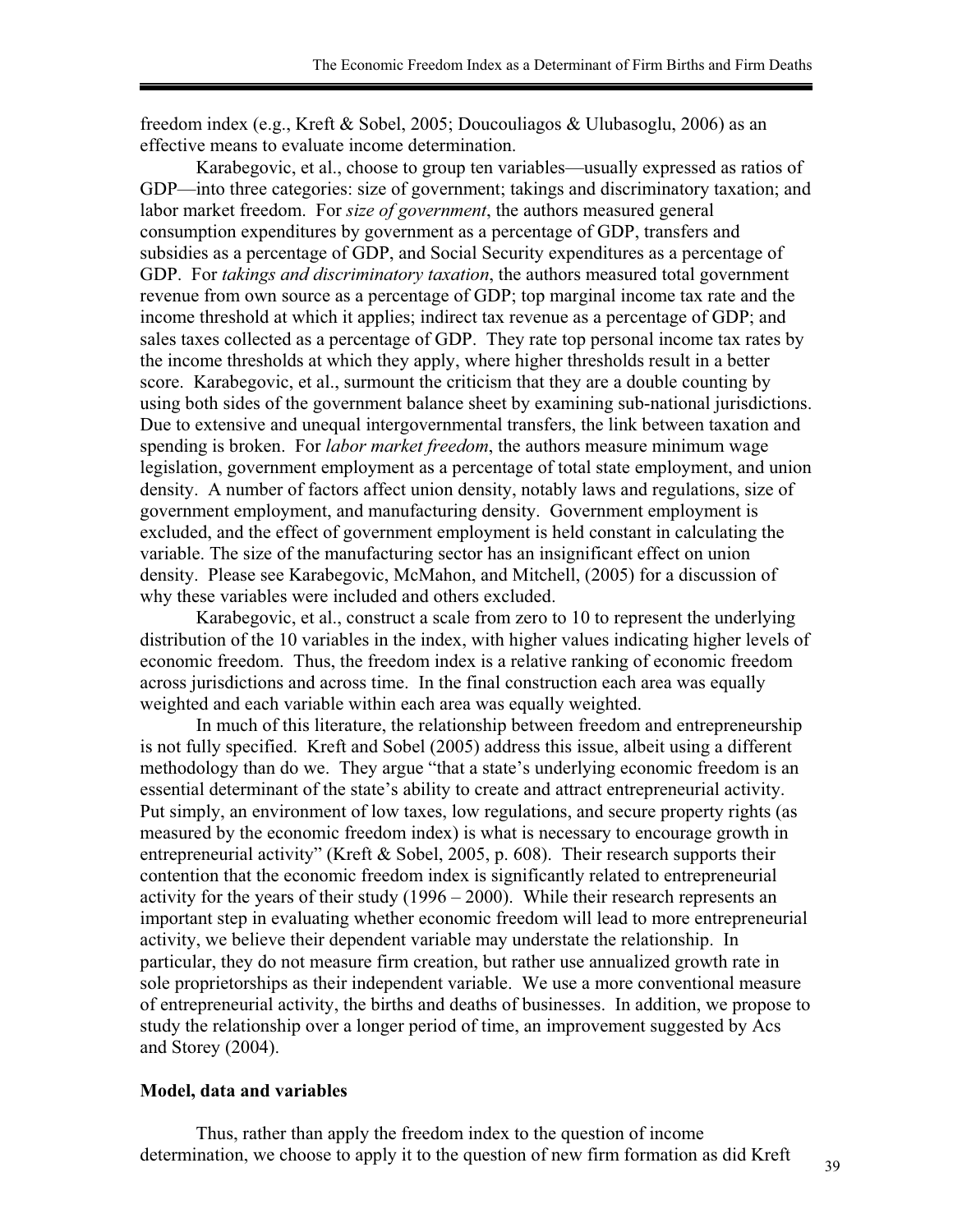freedom index (e.g., Kreft & Sobel, 2005; Doucouliagos & Ulubasoglu, 2006) as an effective means to evaluate income determination.

Karabegovic, et al., choose to group ten variables—usually expressed as ratios of GDP—into three categories: size of government; takings and discriminatory taxation; and labor market freedom. For *size of government*, the authors measured general consumption expenditures by government as a percentage of GDP, transfers and subsidies as a percentage of GDP, and Social Security expenditures as a percentage of GDP. For *takings and discriminatory taxation*, the authors measured total government revenue from own source as a percentage of GDP; top marginal income tax rate and the income threshold at which it applies; indirect tax revenue as a percentage of GDP; and sales taxes collected as a percentage of GDP. They rate top personal income tax rates by the income thresholds at which they apply, where higher thresholds result in a better score. Karabegovic, et al., surmount the criticism that they are a double counting by using both sides of the government balance sheet by examining sub-national jurisdictions. Due to extensive and unequal intergovernmental transfers, the link between taxation and spending is broken. For *labor market freedom*, the authors measure minimum wage legislation, government employment as a percentage of total state employment, and union density. A number of factors affect union density, notably laws and regulations, size of government employment, and manufacturing density. Government employment is excluded, and the effect of government employment is held constant in calculating the variable. The size of the manufacturing sector has an insignificant effect on union density. Please see Karabegovic, McMahon, and Mitchell, (2005) for a discussion of why these variables were included and others excluded.

Karabegovic, et al., construct a scale from zero to 10 to represent the underlying distribution of the 10 variables in the index, with higher values indicating higher levels of economic freedom. Thus, the freedom index is a relative ranking of economic freedom across jurisdictions and across time. In the final construction each area was equally weighted and each variable within each area was equally weighted.

In much of this literature, the relationship between freedom and entrepreneurship is not fully specified. Kreft and Sobel (2005) address this issue, albeit using a different methodology than do we. They argue "that a state's underlying economic freedom is an essential determinant of the state's ability to create and attract entrepreneurial activity. Put simply, an environment of low taxes, low regulations, and secure property rights (as measured by the economic freedom index) is what is necessary to encourage growth in entrepreneurial activity" (Kreft & Sobel, 2005, p. 608). Their research supports their contention that the economic freedom index is significantly related to entrepreneurial activity for the years of their study (1996 – 2000). While their research represents an important step in evaluating whether economic freedom will lead to more entrepreneurial activity, we believe their dependent variable may understate the relationship. In particular, they do not measure firm creation, but rather use annualized growth rate in sole proprietorships as their independent variable. We use a more conventional measure of entrepreneurial activity, the births and deaths of businesses. In addition, we propose to study the relationship over a longer period of time, an improvement suggested by Acs and Storey (2004).

#### **Model, data and variables**

Thus, rather than apply the freedom index to the question of income determination, we choose to apply it to the question of new firm formation as did Kreft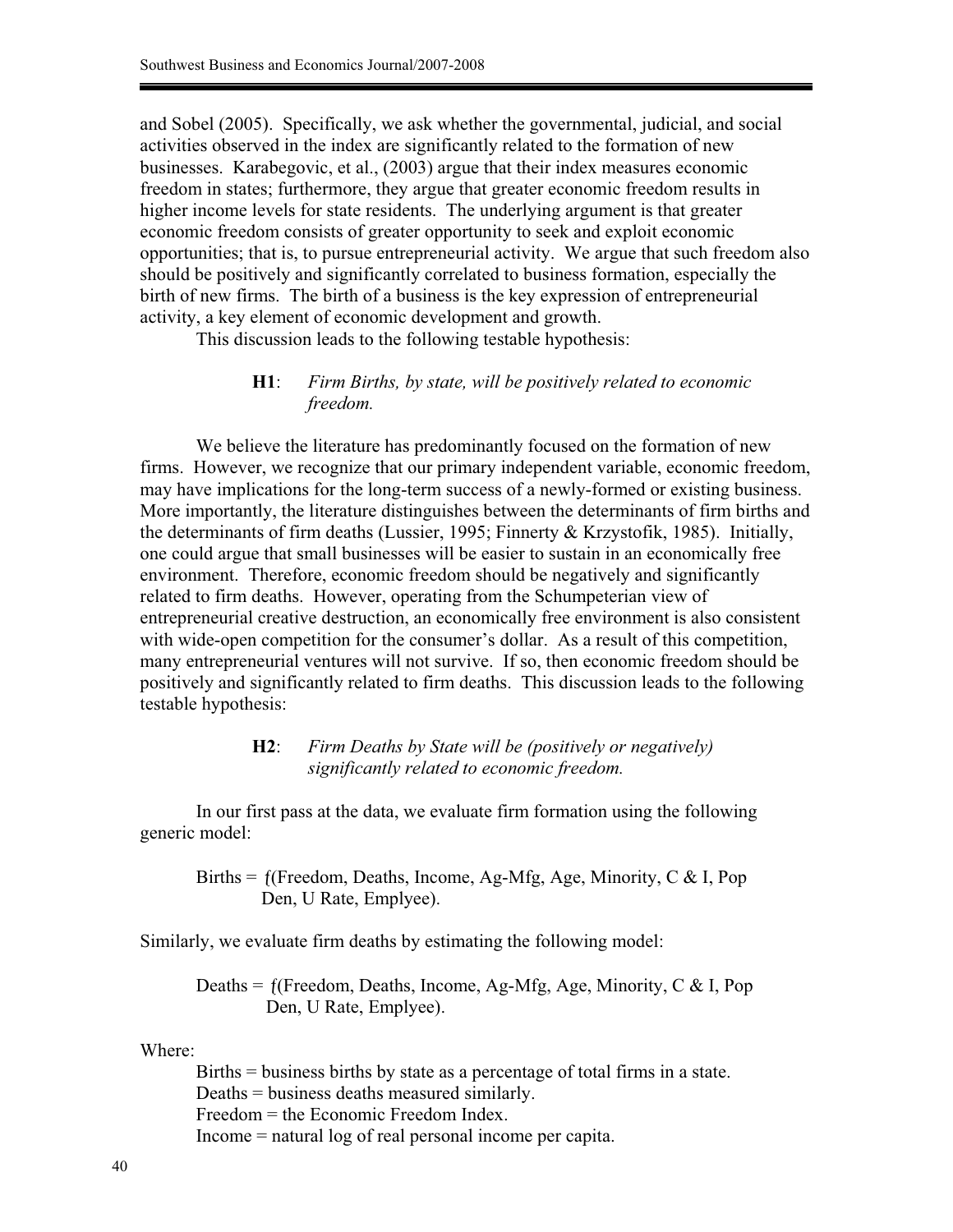and Sobel (2005). Specifically, we ask whether the governmental, judicial, and social activities observed in the index are significantly related to the formation of new businesses. Karabegovic, et al., (2003) argue that their index measures economic freedom in states; furthermore, they argue that greater economic freedom results in higher income levels for state residents. The underlying argument is that greater economic freedom consists of greater opportunity to seek and exploit economic opportunities; that is, to pursue entrepreneurial activity. We argue that such freedom also should be positively and significantly correlated to business formation, especially the birth of new firms. The birth of a business is the key expression of entrepreneurial activity, a key element of economic development and growth.

This discussion leads to the following testable hypothesis:

# **H1**: *Firm Births, by state, will be positively related to economic freedom.*

We believe the literature has predominantly focused on the formation of new firms. However, we recognize that our primary independent variable, economic freedom, may have implications for the long-term success of a newly-formed or existing business. More importantly, the literature distinguishes between the determinants of firm births and the determinants of firm deaths (Lussier, 1995; Finnerty & Krzystofik, 1985). Initially, one could argue that small businesses will be easier to sustain in an economically free environment. Therefore, economic freedom should be negatively and significantly related to firm deaths. However, operating from the Schumpeterian view of entrepreneurial creative destruction, an economically free environment is also consistent with wide-open competition for the consumer's dollar. As a result of this competition, many entrepreneurial ventures will not survive. If so, then economic freedom should be positively and significantly related to firm deaths. This discussion leads to the following testable hypothesis:

# **H2**: *Firm Deaths by State will be (positively or negatively) significantly related to economic freedom.*

In our first pass at the data, we evaluate firm formation using the following generic model:

Births =  $f$ (Freedom, Deaths, Income, Ag-Mfg, Age, Minority, C & I, Pop Den, U Rate, Emplyee).

Similarly, we evaluate firm deaths by estimating the following model:

Deaths = (Freedom, Deaths, Income, Ag-Mfg, Age, Minority, C & I, Pop Den, U Rate, Emplyee).

Where:

Births = business births by state as a percentage of total firms in a state. Deaths = business deaths measured similarly. Freedom = the Economic Freedom Index. Income = natural log of real personal income per capita.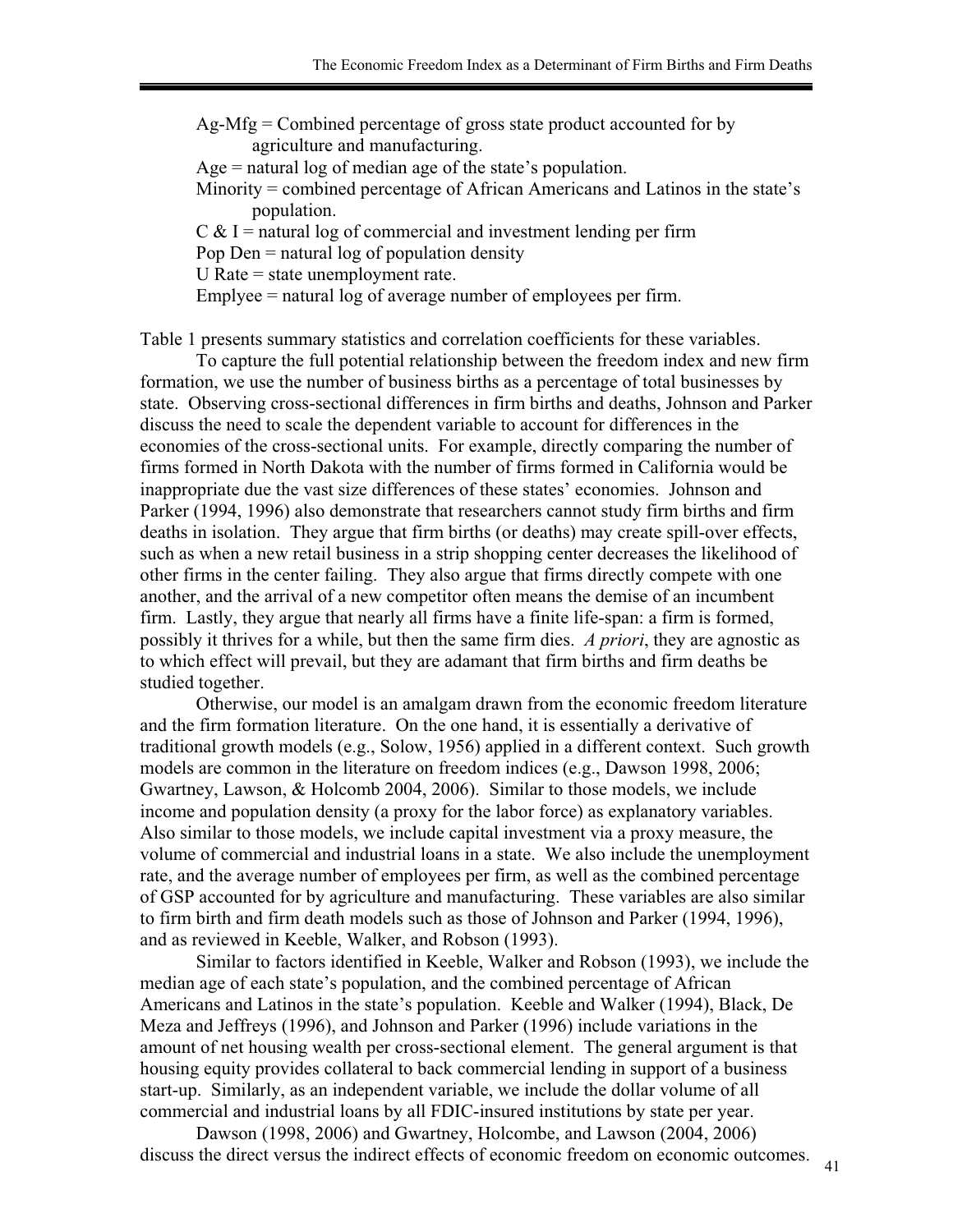Ag-Mfg = Combined percentage of gross state product accounted for by agriculture and manufacturing.

Age = natural log of median age of the state's population.

Minority = combined percentage of African Americans and Latinos in the state's population.

 $C & I$  = natural log of commercial and investment lending per firm

Pop Den  $=$  natural log of population density

U Rate  $=$  state unemployment rate.

Emplyee = natural log of average number of employees per firm.

Table 1 presents summary statistics and correlation coefficients for these variables.

To capture the full potential relationship between the freedom index and new firm formation, we use the number of business births as a percentage of total businesses by state. Observing cross-sectional differences in firm births and deaths, Johnson and Parker discuss the need to scale the dependent variable to account for differences in the economies of the cross-sectional units. For example, directly comparing the number of firms formed in North Dakota with the number of firms formed in California would be inappropriate due the vast size differences of these states' economies. Johnson and Parker (1994, 1996) also demonstrate that researchers cannot study firm births and firm deaths in isolation. They argue that firm births (or deaths) may create spill-over effects, such as when a new retail business in a strip shopping center decreases the likelihood of other firms in the center failing. They also argue that firms directly compete with one another, and the arrival of a new competitor often means the demise of an incumbent firm. Lastly, they argue that nearly all firms have a finite life-span: a firm is formed, possibly it thrives for a while, but then the same firm dies. *A priori*, they are agnostic as to which effect will prevail, but they are adamant that firm births and firm deaths be studied together.

Otherwise, our model is an amalgam drawn from the economic freedom literature and the firm formation literature. On the one hand, it is essentially a derivative of traditional growth models (e.g., Solow, 1956) applied in a different context. Such growth models are common in the literature on freedom indices (e.g., Dawson 1998, 2006; Gwartney, Lawson, & Holcomb 2004, 2006). Similar to those models, we include income and population density (a proxy for the labor force) as explanatory variables. Also similar to those models, we include capital investment via a proxy measure, the volume of commercial and industrial loans in a state. We also include the unemployment rate, and the average number of employees per firm, as well as the combined percentage of GSP accounted for by agriculture and manufacturing. These variables are also similar to firm birth and firm death models such as those of Johnson and Parker (1994, 1996), and as reviewed in Keeble, Walker, and Robson (1993).

Similar to factors identified in Keeble, Walker and Robson (1993), we include the median age of each state's population, and the combined percentage of African Americans and Latinos in the state's population. Keeble and Walker (1994), Black, De Meza and Jeffreys (1996), and Johnson and Parker (1996) include variations in the amount of net housing wealth per cross-sectional element. The general argument is that housing equity provides collateral to back commercial lending in support of a business start-up. Similarly, as an independent variable, we include the dollar volume of all commercial and industrial loans by all FDIC-insured institutions by state per year.

Dawson (1998, 2006) and Gwartney, Holcombe, and Lawson (2004, 2006) discuss the direct versus the indirect effects of economic freedom on economic outcomes.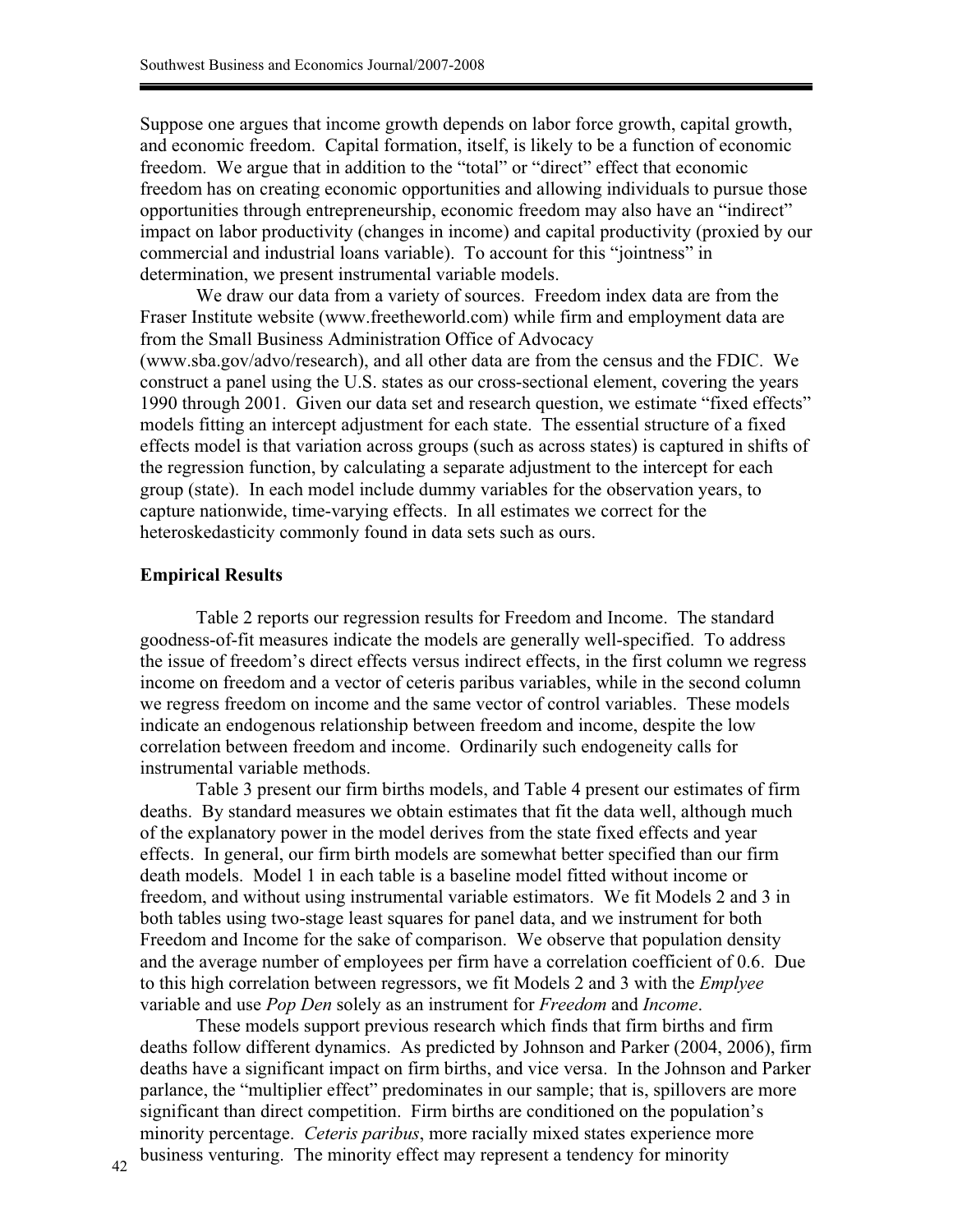Suppose one argues that income growth depends on labor force growth, capital growth, and economic freedom. Capital formation, itself, is likely to be a function of economic freedom. We argue that in addition to the "total" or "direct" effect that economic freedom has on creating economic opportunities and allowing individuals to pursue those opportunities through entrepreneurship, economic freedom may also have an "indirect" impact on labor productivity (changes in income) and capital productivity (proxied by our commercial and industrial loans variable). To account for this "jointness" in determination, we present instrumental variable models.

We draw our data from a variety of sources. Freedom index data are from the Fraser Institute website (www.freetheworld.com) while firm and employment data are from the Small Business Administration Office of Advocacy (www.sba.gov/advo/research), and all other data are from the census and the FDIC. We construct a panel using the U.S. states as our cross-sectional element, covering the years 1990 through 2001. Given our data set and research question, we estimate "fixed effects" models fitting an intercept adjustment for each state. The essential structure of a fixed effects model is that variation across groups (such as across states) is captured in shifts of the regression function, by calculating a separate adjustment to the intercept for each group (state). In each model include dummy variables for the observation years, to capture nationwide, time-varying effects. In all estimates we correct for the heteroskedasticity commonly found in data sets such as ours.

#### **Empirical Results**

Table 2 reports our regression results for Freedom and Income. The standard goodness-of-fit measures indicate the models are generally well-specified. To address the issue of freedom's direct effects versus indirect effects, in the first column we regress income on freedom and a vector of ceteris paribus variables, while in the second column we regress freedom on income and the same vector of control variables. These models indicate an endogenous relationship between freedom and income, despite the low correlation between freedom and income. Ordinarily such endogeneity calls for instrumental variable methods.

Table 3 present our firm births models, and Table 4 present our estimates of firm deaths. By standard measures we obtain estimates that fit the data well, although much of the explanatory power in the model derives from the state fixed effects and year effects. In general, our firm birth models are somewhat better specified than our firm death models. Model 1 in each table is a baseline model fitted without income or freedom, and without using instrumental variable estimators. We fit Models 2 and 3 in both tables using two-stage least squares for panel data, and we instrument for both Freedom and Income for the sake of comparison. We observe that population density and the average number of employees per firm have a correlation coefficient of 0.6. Due to this high correlation between regressors, we fit Models 2 and 3 with the *Emplyee* variable and use *Pop Den* solely as an instrument for *Freedom* and *Income*.

These models support previous research which finds that firm births and firm deaths follow different dynamics. As predicted by Johnson and Parker (2004, 2006), firm deaths have a significant impact on firm births, and vice versa. In the Johnson and Parker parlance, the "multiplier effect" predominates in our sample; that is, spillovers are more significant than direct competition. Firm births are conditioned on the population's minority percentage. *Ceteris paribus*, more racially mixed states experience more business venturing. The minority effect may represent a tendency for minority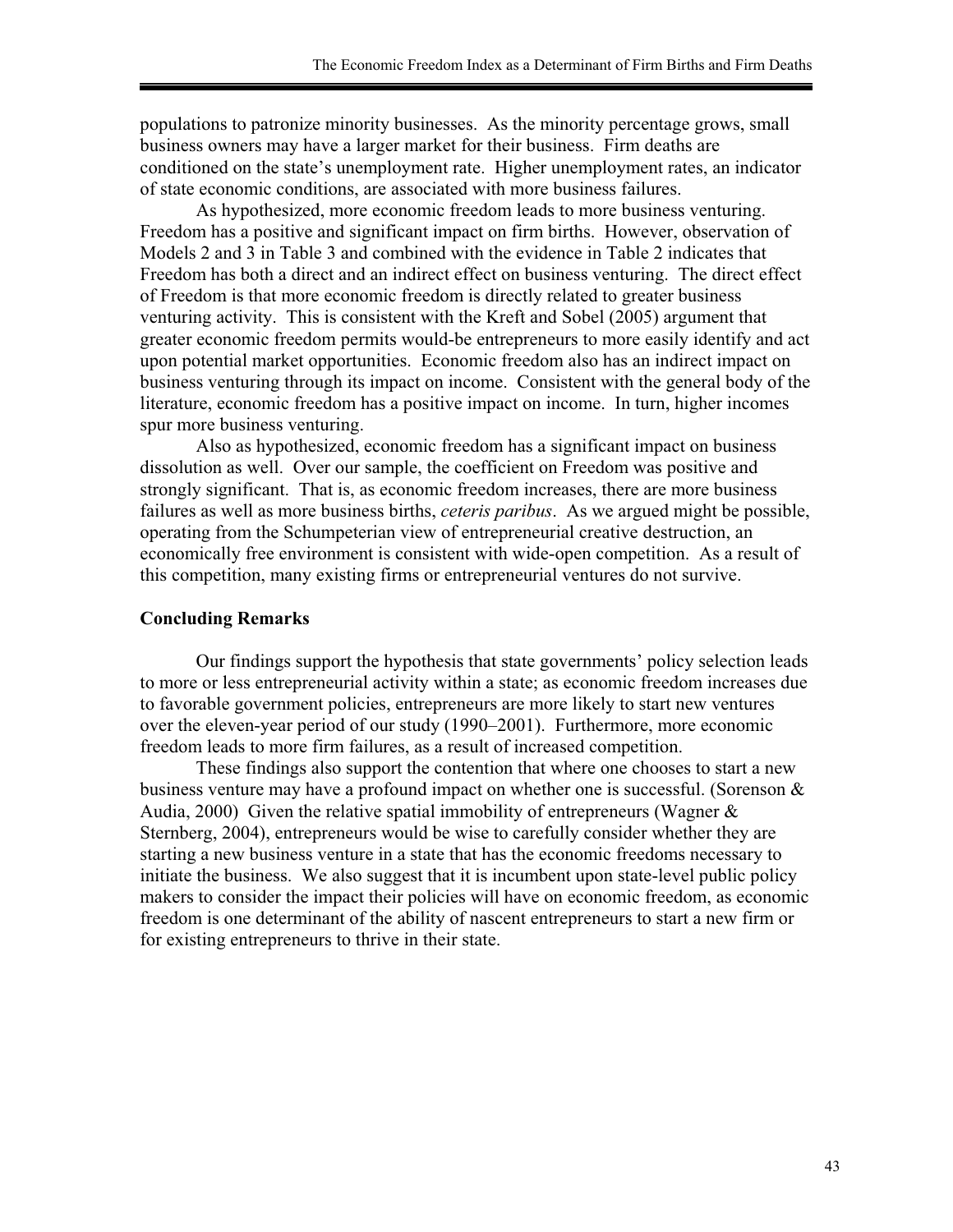populations to patronize minority businesses. As the minority percentage grows, small business owners may have a larger market for their business. Firm deaths are conditioned on the state's unemployment rate. Higher unemployment rates, an indicator of state economic conditions, are associated with more business failures.

As hypothesized, more economic freedom leads to more business venturing. Freedom has a positive and significant impact on firm births. However, observation of Models 2 and 3 in Table 3 and combined with the evidence in Table 2 indicates that Freedom has both a direct and an indirect effect on business venturing. The direct effect of Freedom is that more economic freedom is directly related to greater business venturing activity. This is consistent with the Kreft and Sobel (2005) argument that greater economic freedom permits would-be entrepreneurs to more easily identify and act upon potential market opportunities. Economic freedom also has an indirect impact on business venturing through its impact on income. Consistent with the general body of the literature, economic freedom has a positive impact on income. In turn, higher incomes spur more business venturing.

Also as hypothesized, economic freedom has a significant impact on business dissolution as well. Over our sample, the coefficient on Freedom was positive and strongly significant. That is, as economic freedom increases, there are more business failures as well as more business births, *ceteris paribus*. As we argued might be possible, operating from the Schumpeterian view of entrepreneurial creative destruction, an economically free environment is consistent with wide-open competition. As a result of this competition, many existing firms or entrepreneurial ventures do not survive.

# **Concluding Remarks**

Our findings support the hypothesis that state governments' policy selection leads to more or less entrepreneurial activity within a state; as economic freedom increases due to favorable government policies, entrepreneurs are more likely to start new ventures over the eleven-year period of our study (1990–2001). Furthermore, more economic freedom leads to more firm failures, as a result of increased competition.

These findings also support the contention that where one chooses to start a new business venture may have a profound impact on whether one is successful. (Sorenson & Audia, 2000) Given the relative spatial immobility of entrepreneurs (Wagner  $\&$ Sternberg, 2004), entrepreneurs would be wise to carefully consider whether they are starting a new business venture in a state that has the economic freedoms necessary to initiate the business. We also suggest that it is incumbent upon state-level public policy makers to consider the impact their policies will have on economic freedom, as economic freedom is one determinant of the ability of nascent entrepreneurs to start a new firm or for existing entrepreneurs to thrive in their state.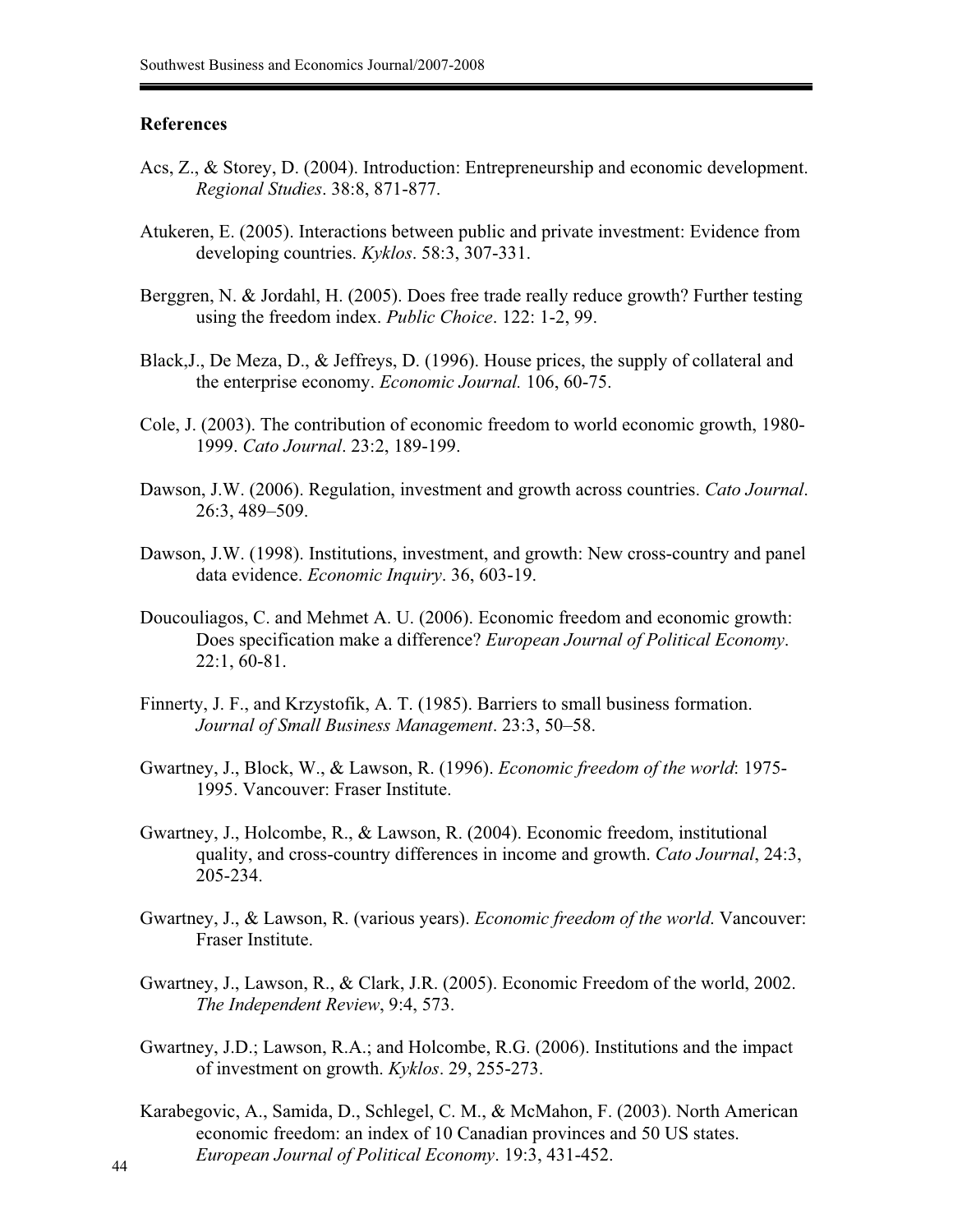### **References**

- Acs, Z., & Storey, D. (2004). Introduction: Entrepreneurship and economic development. *Regional Studies*. 38:8, 871-877.
- Atukeren, E. (2005). Interactions between public and private investment: Evidence from developing countries. *Kyklos*. 58:3, 307-331.
- Berggren, N. & Jordahl, H. (2005). Does free trade really reduce growth? Further testing using the freedom index. *Public Choice*. 122: 1-2, 99.
- Black,J., De Meza, D., & Jeffreys, D. (1996). House prices, the supply of collateral and the enterprise economy. *Economic Journal.* 106, 60-75.
- Cole, J. (2003). The contribution of economic freedom to world economic growth, 1980- 1999. *Cato Journal*. 23:2, 189-199.
- Dawson, J.W. (2006). Regulation, investment and growth across countries. *Cato Journal*. 26:3, 489–509.
- Dawson, J.W. (1998). Institutions, investment, and growth: New cross-country and panel data evidence. *Economic Inquiry*. 36, 603-19.
- Doucouliagos, C. and Mehmet A. U. (2006). Economic freedom and economic growth: Does specification make a difference? *European Journal of Political Economy*. 22:1, 60-81.
- Finnerty, J. F., and Krzystofik, A. T. (1985). Barriers to small business formation. *Journal of Small Business Management*. 23:3, 50–58.
- Gwartney, J., Block, W., & Lawson, R. (1996). *Economic freedom of the world*: 1975- 1995. Vancouver: Fraser Institute.
- Gwartney, J., Holcombe, R., & Lawson, R. (2004). Economic freedom, institutional quality, and cross-country differences in income and growth. *Cato Journal*, 24:3, 205-234.
- Gwartney, J., & Lawson, R. (various years). *Economic freedom of the world*. Vancouver: Fraser Institute.
- Gwartney, J., Lawson, R., & Clark, J.R. (2005). Economic Freedom of the world, 2002. *The Independent Review*, 9:4, 573.
- Gwartney, J.D.; Lawson, R.A.; and Holcombe, R.G. (2006). Institutions and the impact of investment on growth. *Kyklos*. 29, 255-273.
- Karabegovic, A., Samida, D., Schlegel, C. M., & McMahon, F. (2003). North American economic freedom: an index of 10 Canadian provinces and 50 US states. *European Journal of Political Economy*. 19:3, 431-452.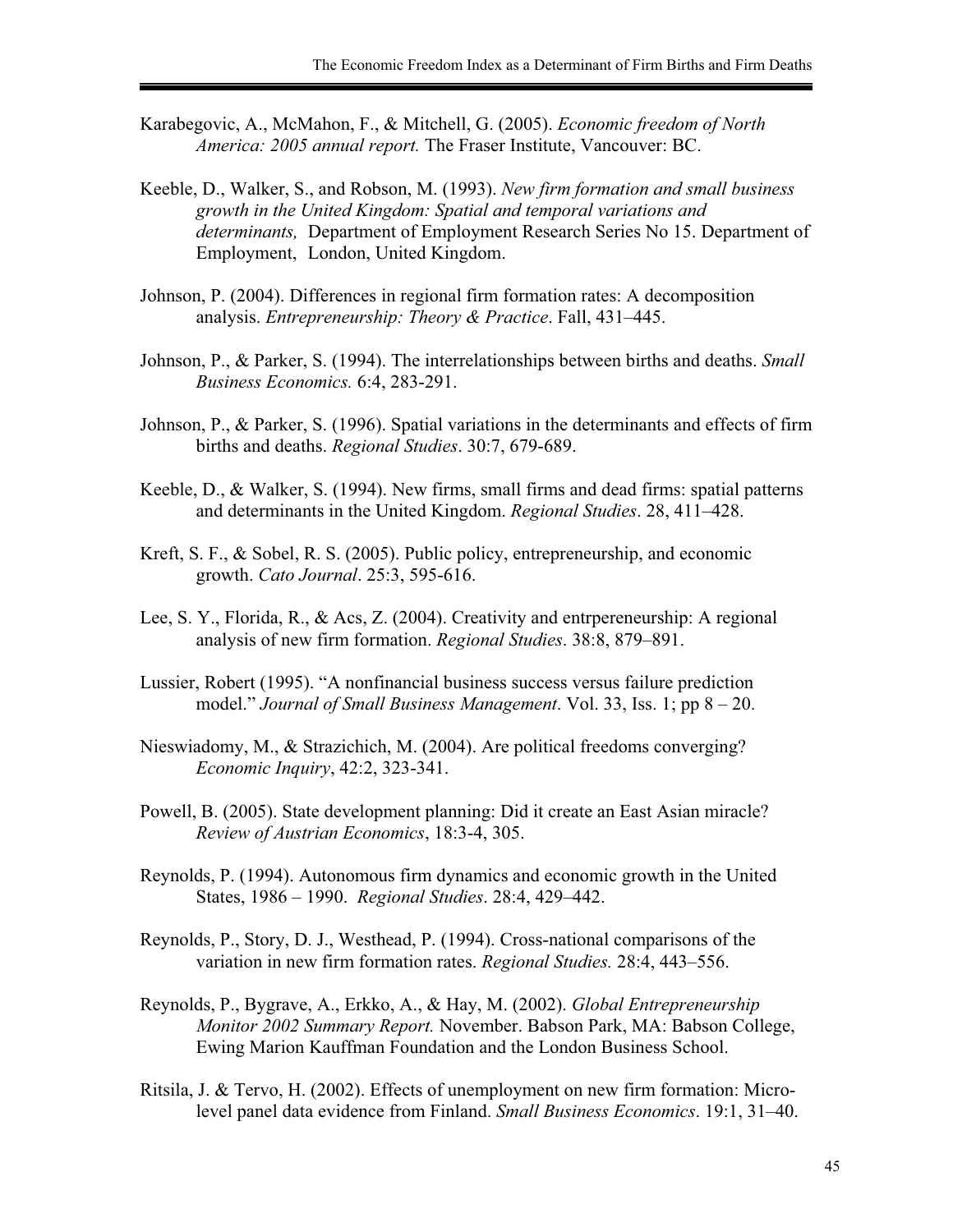- Karabegovic, A., McMahon, F., & Mitchell, G. (2005). *Economic freedom of North America: 2005 annual report.* The Fraser Institute, Vancouver: BC.
- Keeble, D., Walker, S., and Robson, M. (1993). *New firm formation and small business growth in the United Kingdom: Spatial and temporal variations and determinants,* Department of Employment Research Series No 15. Department of Employment, London, United Kingdom.
- Johnson, P. (2004). Differences in regional firm formation rates: A decomposition analysis. *Entrepreneurship: Theory & Practice*. Fall, 431–445.
- Johnson, P., & Parker, S. (1994). The interrelationships between births and deaths. *Small Business Economics.* 6:4, 283-291.
- Johnson, P., & Parker, S. (1996). Spatial variations in the determinants and effects of firm births and deaths. *Regional Studies*. 30:7, 679-689.
- Keeble, D., & Walker, S. (1994). New firms, small firms and dead firms: spatial patterns and determinants in the United Kingdom. *Regional Studies*. 28, 411–428.
- Kreft, S. F., & Sobel, R. S. (2005). Public policy, entrepreneurship, and economic growth. *Cato Journal*. 25:3, 595-616.
- Lee, S. Y., Florida, R., & Acs, Z. (2004). Creativity and entrpereneurship: A regional analysis of new firm formation. *Regional Studies*. 38:8, 879–891.
- Lussier, Robert (1995). "A nonfinancial business success versus failure prediction model." *Journal of Small Business Management*. Vol. 33, Iss. 1; pp 8 – 20.
- Nieswiadomy, M., & Strazichich, M. (2004). Are political freedoms converging? *Economic Inquiry*, 42:2, 323-341.
- Powell, B. (2005). State development planning: Did it create an East Asian miracle? *Review of Austrian Economics*, 18:3-4, 305.
- Reynolds, P. (1994). Autonomous firm dynamics and economic growth in the United States, 1986 – 1990. *Regional Studies*. 28:4, 429–442.
- Reynolds, P., Story, D. J., Westhead, P. (1994). Cross-national comparisons of the variation in new firm formation rates. *Regional Studies.* 28:4, 443–556.
- Reynolds, P., Bygrave, A., Erkko, A., & Hay, M. (2002). *Global Entrepreneurship Monitor 2002 Summary Report.* November. Babson Park, MA: Babson College, Ewing Marion Kauffman Foundation and the London Business School.
- Ritsila, J. & Tervo, H. (2002). Effects of unemployment on new firm formation: Micro level panel data evidence from Finland. *Small Business Economics*. 19:1, 31–40.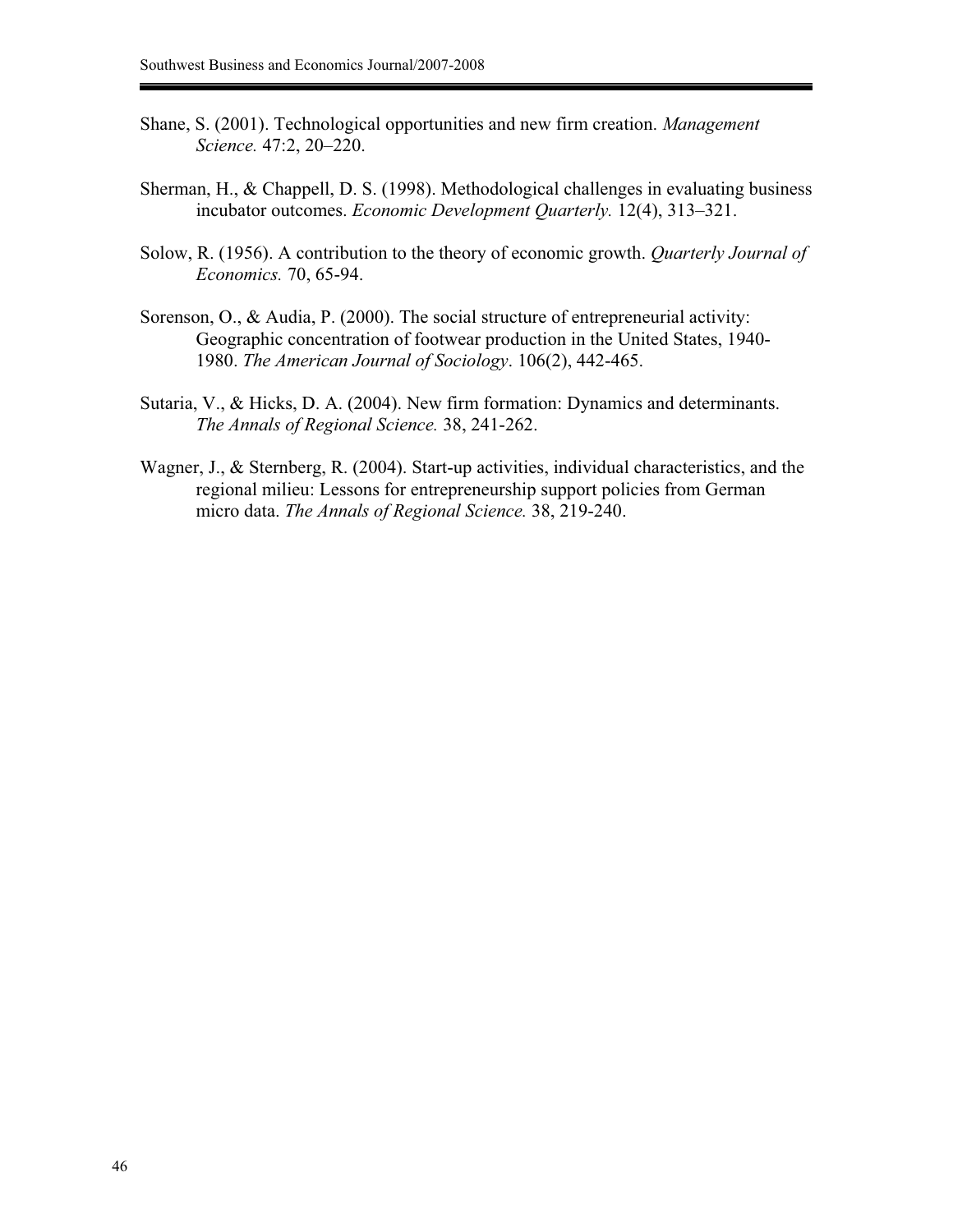- Shane, S. (2001). Technological opportunities and new firm creation. *Management Science.* 47:2, 20–220.
- Sherman, H., & Chappell, D. S. (1998). Methodological challenges in evaluating business incubator outcomes. *Economic Development Quarterly.* 12(4), 313–321.
- Solow, R. (1956). A contribution to the theory of economic growth. *Quarterly Journal of Economics.* 70, 65-94.
- Sorenson, O., & Audia, P. (2000). The social structure of entrepreneurial activity: Geographic concentration of footwear production in the United States, 1940- 1980. *The American Journal of Sociology*. 106(2), 442-465.
- Sutaria, V., & Hicks, D. A. (2004). New firm formation: Dynamics and determinants. *The Annals of Regional Science.* 38, 241-262.
- Wagner, J., & Sternberg, R. (2004). Start-up activities, individual characteristics, and the regional milieu: Lessons for entrepreneurship support policies from German micro data. *The Annals of Regional Science.* 38, 219-240.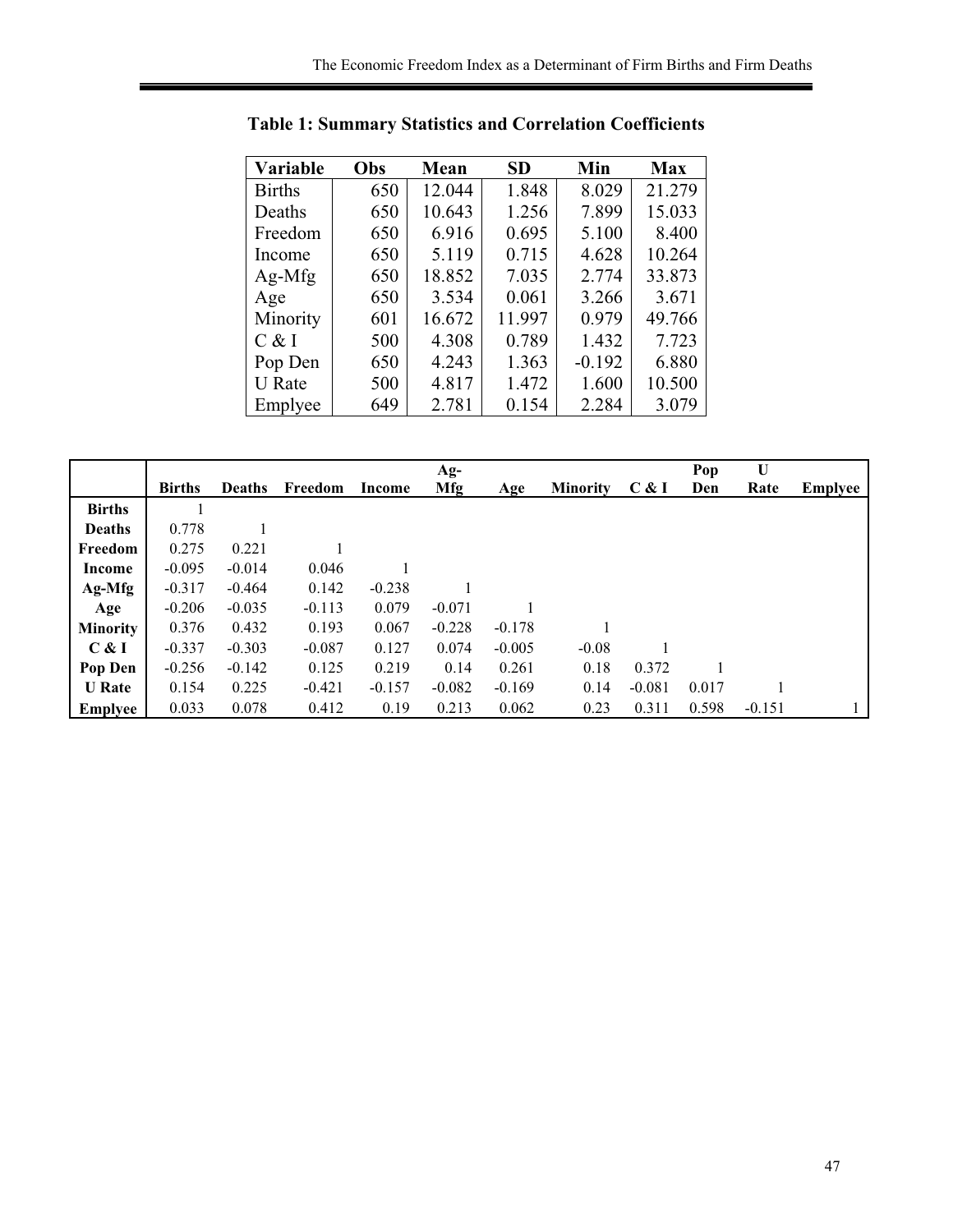| Variable      | Obs | Mean   | <b>SD</b> | Min      | <b>Max</b> |
|---------------|-----|--------|-----------|----------|------------|
| <b>Births</b> | 650 | 12.044 | 1.848     | 8.029    | 21.279     |
| Deaths        | 650 | 10.643 | 1.256     | 7.899    | 15.033     |
| Freedom       | 650 | 6.916  | 0.695     | 5.100    | 8.400      |
| Income        | 650 | 5.119  | 0.715     | 4.628    | 10.264     |
| $Ag-Mfg$      | 650 | 18.852 | 7.035     | 2.774    | 33.873     |
| Age           | 650 | 3.534  | 0.061     | 3.266    | 3.671      |
| Minority      | 601 | 16.672 | 11.997    | 0.979    | 49.766     |
| C & I         | 500 | 4.308  | 0.789     | 1.432    | 7.723      |
| Pop Den       | 650 | 4.243  | 1.363     | $-0.192$ | 6.880      |
| <b>U</b> Rate | 500 | 4.817  | 1.472     | 1.600    | 10.500     |
| Emplyee       | 649 | 2.781  | 0.154     | 2.284    | 3.079      |

**Table 1: Summary Statistics and Correlation Coefficients** 

|                 |               |               |          |          | $Ag-$    |          |                 |          | Pop   | U        |                |
|-----------------|---------------|---------------|----------|----------|----------|----------|-----------------|----------|-------|----------|----------------|
|                 | <b>Births</b> | <b>Deaths</b> | Freedom  | Income   | Mfg      | Age      | <b>Minority</b> | C & I    | Den   | Rate     | <b>Emplyee</b> |
| <b>Births</b>   |               |               |          |          |          |          |                 |          |       |          |                |
| <b>Deaths</b>   | 0.778         |               |          |          |          |          |                 |          |       |          |                |
| Freedom         | 0.275         | 0.221         |          |          |          |          |                 |          |       |          |                |
| Income          | $-0.095$      | $-0.014$      | 0.046    |          |          |          |                 |          |       |          |                |
| $Ag-Mfg$        | $-0.317$      | $-0.464$      | 0.142    | $-0.238$ |          |          |                 |          |       |          |                |
| Age             | $-0.206$      | $-0.035$      | $-0.113$ | 0.079    | $-0.071$ |          |                 |          |       |          |                |
| <b>Minority</b> | 0.376         | 0.432         | 0.193    | 0.067    | $-0.228$ | $-0.178$ |                 |          |       |          |                |
| C & I           | $-0.337$      | $-0.303$      | $-0.087$ | 0.127    | 0.074    | $-0.005$ | $-0.08$         |          |       |          |                |
| Pop Den         | $-0.256$      | $-0.142$      | 0.125    | 0.219    | 0.14     | 0.261    | 0.18            | 0.372    |       |          |                |
| <b>U</b> Rate   | 0.154         | 0.225         | $-0.421$ | $-0.157$ | $-0.082$ | $-0.169$ | 0.14            | $-0.081$ | 0.017 |          |                |
| <b>Emplyee</b>  | 0.033         | 0.078         | 0.412    | 0.19     | 0.213    | 0.062    | 0.23            | 0.311    | 0.598 | $-0.151$ |                |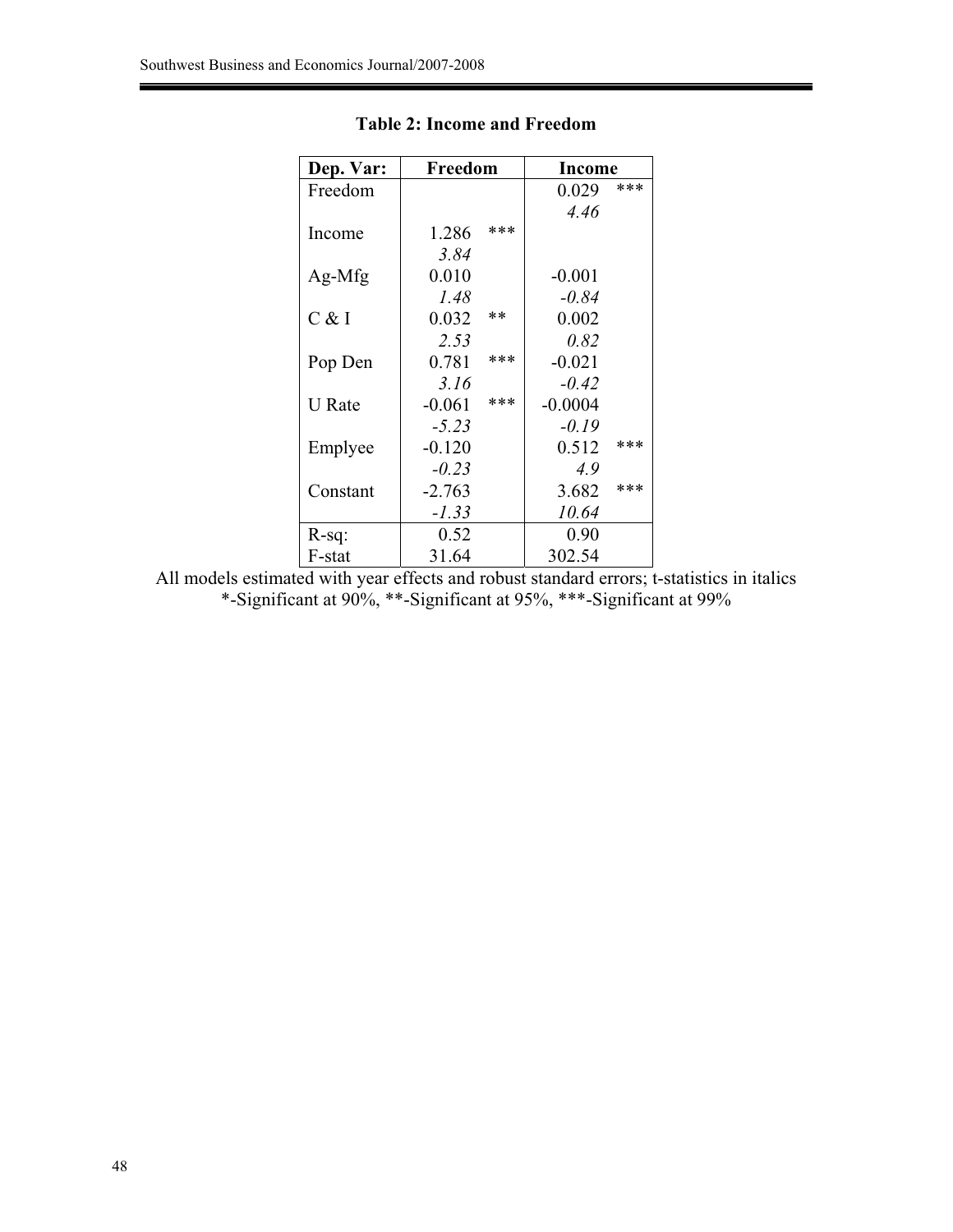| Dep. Var:     | Freedom  |      | <b>Income</b> |     |  |
|---------------|----------|------|---------------|-----|--|
| Freedom       |          |      | 0.029         | *** |  |
|               |          |      | 4.46          |     |  |
| Income        | 1.286    | ***  |               |     |  |
|               | 3.84     |      |               |     |  |
| $Ag-Mfg$      | 0.010    |      | $-0.001$      |     |  |
|               | 1.48     |      | $-0.84$       |     |  |
| C & I         | 0.032    | $**$ | 0.002         |     |  |
|               | 2.53     |      | 0.82          |     |  |
| Pop Den       | 0.781    | ***  | $-0.021$      |     |  |
|               | 3.16     |      | $-0.42$       |     |  |
| <b>U</b> Rate | $-0.061$ | ***  | $-0.0004$     |     |  |
|               | $-5.23$  |      | $-0.19$       |     |  |
| Emplyee       | $-0.120$ |      | 0.512         | *** |  |
|               | $-0.23$  |      | 4.9           |     |  |
| Constant      | $-2.763$ |      | 3.682         | *** |  |
|               | $-1.33$  |      | 10.64         |     |  |
| $R-sq$ :      | 0.52     |      | 0.90          |     |  |
| F-stat        | 31.64    |      | 302.54        |     |  |

# **Table 2: Income and Freedom**

All models estimated with year effects and robust standard errors; t-statistics in italics \*-Significant at 90%, \*\*-Significant at 95%, \*\*\*-Significant at 99%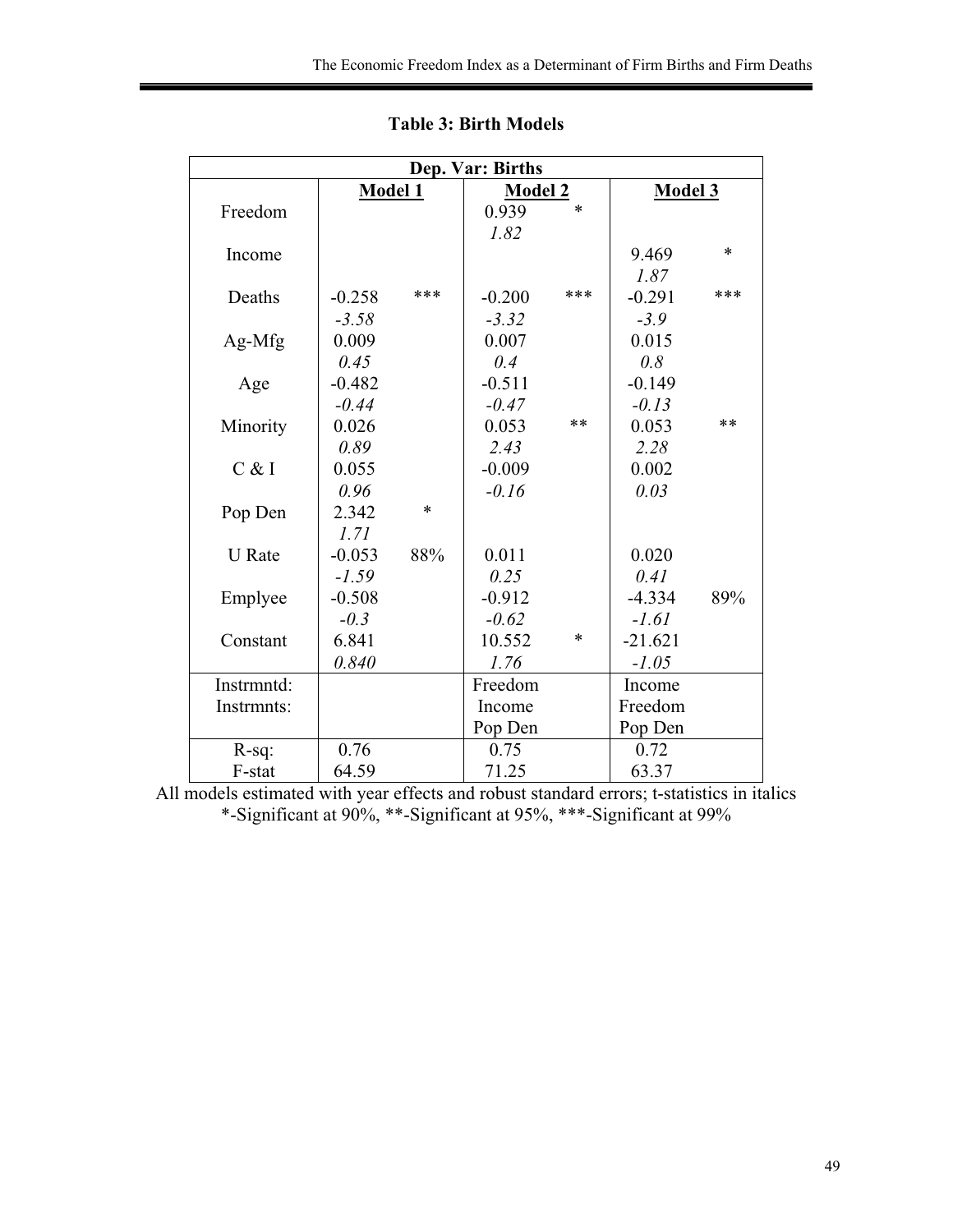| Dep. Var: Births |          |        |                |        |                |      |  |
|------------------|----------|--------|----------------|--------|----------------|------|--|
|                  | Model 1  |        | <b>Model 2</b> |        | <b>Model 3</b> |      |  |
| Freedom          |          |        | 0.939          | $\ast$ |                |      |  |
|                  |          |        | 1.82           |        |                |      |  |
| Income           |          |        |                |        | 9.469          | *    |  |
|                  |          |        |                |        | 1.87           |      |  |
| Deaths           | $-0.258$ | ***    | $-0.200$       | ***    | $-0.291$       | ***  |  |
|                  | $-3.58$  |        | $-3.32$        |        | $-3.9$         |      |  |
| Ag-Mfg           | 0.009    |        | 0.007          |        | 0.015          |      |  |
|                  | 0.45     |        | 0.4            |        | 0.8            |      |  |
| Age              | $-0.482$ |        | $-0.511$       |        | $-0.149$       |      |  |
|                  | $-0.44$  |        | $-0.47$        |        | $-0.13$        |      |  |
| Minority         | 0.026    |        | 0.053          | $**$   | 0.053          | $**$ |  |
|                  | 0.89     |        | 2.43           |        | 2.28           |      |  |
| C & I            | 0.055    |        | $-0.009$       |        | 0.002          |      |  |
|                  | 0.96     |        | $-0.16$        |        | 0.03           |      |  |
| Pop Den          | 2.342    | $\ast$ |                |        |                |      |  |
|                  | 1.71     |        |                |        |                |      |  |
| <b>U</b> Rate    | $-0.053$ | 88%    | 0.011          |        | 0.020          |      |  |
|                  | $-1.59$  |        | 0.25           |        | 0.41           |      |  |
| Emplyee          | $-0.508$ |        | $-0.912$       |        | $-4.334$       | 89%  |  |
|                  | $-0.3$   |        | $-0.62$        |        | $-1.61$        |      |  |
| Constant         | 6.841    |        | 10.552         | $\ast$ | $-21.621$      |      |  |
|                  | 0.840    |        | 1.76           |        | $-1.05$        |      |  |
| Instrmntd:       |          |        | Freedom        |        | Income         |      |  |
| Instrmnts:       |          |        | Income         |        | Freedom        |      |  |
|                  |          |        | Pop Den        |        | Pop Den        |      |  |
| $R-sq$ :         | 0.76     |        | 0.75           |        | 0.72           |      |  |
| F-stat           | 64.59    |        | 71.25          |        | 63.37          |      |  |

**Table 3: Birth Models** 

All models estimated with year effects and robust standard errors; t-statistics in italics \*-Significant at 90%, \*\*-Significant at 95%, \*\*\*-Significant at 99%